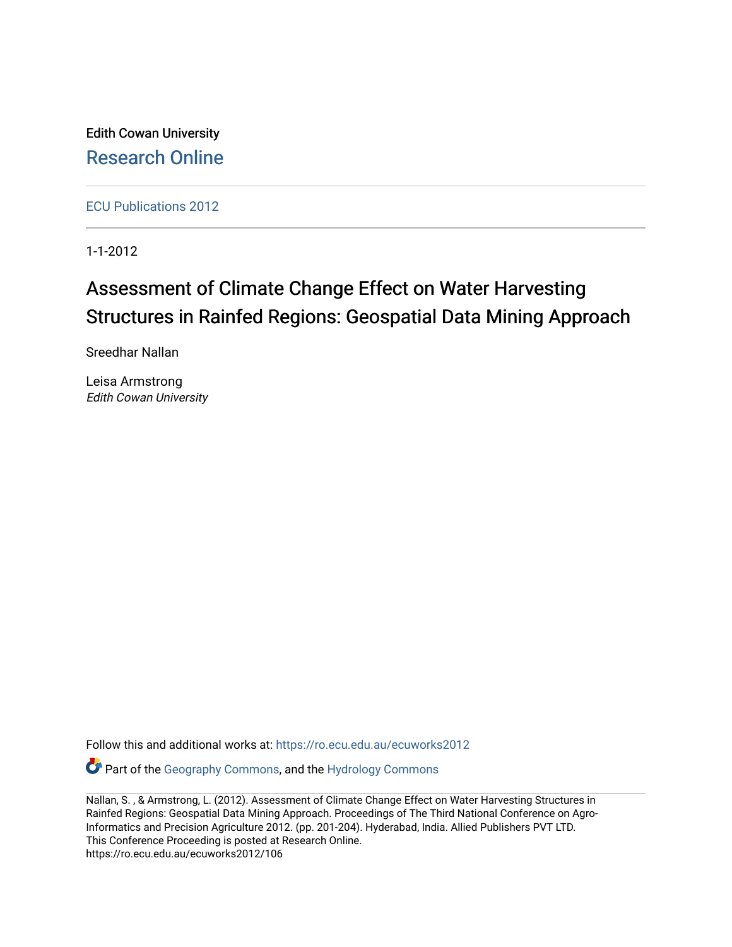Edith Cowan University [Research Online](https://ro.ecu.edu.au/) 

[ECU Publications 2012](https://ro.ecu.edu.au/ecuworks2012)

1-1-2012

# Assessment of Climate Change Effect on Water Harvesting Structures in Rainfed Regions: Geospatial Data Mining Approach

Sreedhar Nallan

Leisa Armstrong Edith Cowan University

Follow this and additional works at: [https://ro.ecu.edu.au/ecuworks2012](https://ro.ecu.edu.au/ecuworks2012?utm_source=ro.ecu.edu.au%2Fecuworks2012%2F106&utm_medium=PDF&utm_campaign=PDFCoverPages) 

Part of the [Geography Commons,](http://network.bepress.com/hgg/discipline/354?utm_source=ro.ecu.edu.au%2Fecuworks2012%2F106&utm_medium=PDF&utm_campaign=PDFCoverPages) and the [Hydrology Commons](http://network.bepress.com/hgg/discipline/1054?utm_source=ro.ecu.edu.au%2Fecuworks2012%2F106&utm_medium=PDF&utm_campaign=PDFCoverPages)

Nallan, S. , & Armstrong, L. (2012). Assessment of Climate Change Effect on Water Harvesting Structures in Rainfed Regions: Geospatial Data Mining Approach. Proceedings of The Third National Conference on Agro-Informatics and Precision Agriculture 2012. (pp. 201-204). Hyderabad, India. Allied Publishers PVT LTD. This Conference Proceeding is posted at Research Online. https://ro.ecu.edu.au/ecuworks2012/106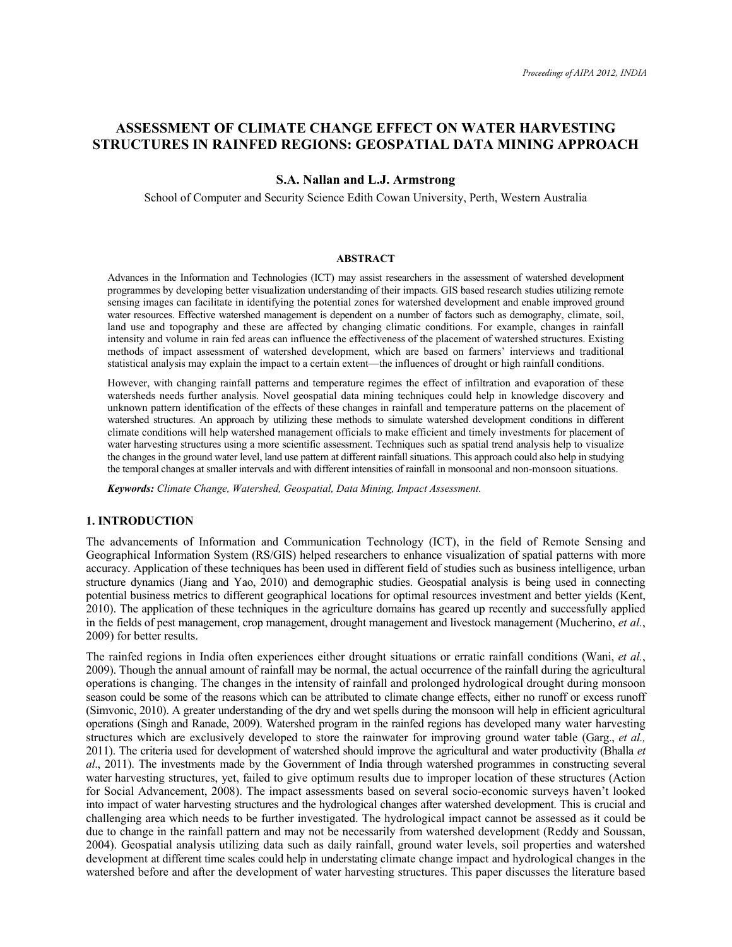# **ASSESSMENT OF CLIMATE CHANGE EFFECT ON WATER HARVESTING STRUCTURES IN RAINFED REGIONS: GEOSPATIAL DATA MINING APPROACH**

### **S.A. Nallan and L.J. Armstrong**

School of Computer and Security Science Edith Cowan University, Perth, Western Australia

#### **ABSTRACT**

Advances in the Information and Technologies (ICT) may assist researchers in the assessment of watershed development programmes by developing better visualization understanding of their impacts. GIS based research studies utilizing remote sensing images can facilitate in identifying the potential zones for watershed development and enable improved ground water resources. Effective watershed management is dependent on a number of factors such as demography, climate, soil, land use and topography and these are affected by changing climatic conditions. For example, changes in rainfall intensity and volume in rain fed areas can influence the effectiveness of the placement of watershed structures. Existing methods of impact assessment of watershed development, which are based on farmers' interviews and traditional statistical analysis may explain the impact to a certain extent—the influences of drought or high rainfall conditions.

However, with changing rainfall patterns and temperature regimes the effect of infiltration and evaporation of these watersheds needs further analysis. Novel geospatial data mining techniques could help in knowledge discovery and unknown pattern identification of the effects of these changes in rainfall and temperature patterns on the placement of watershed structures. An approach by utilizing these methods to simulate watershed development conditions in different climate conditions will help watershed management officials to make efficient and timely investments for placement of water harvesting structures using a more scientific assessment. Techniques such as spatial trend analysis help to visualize the changes in the ground water level, land use pattern at different rainfall situations. This approach could also help in studying the temporal changes at smaller intervals and with different intensities of rainfall in monsoonal and non-monsoon situations.

*Keywords: Climate Change, Watershed, Geospatial, Data Mining, Impact Assessment.* 

#### **1. INTRODUCTION**

The advancements of Information and Communication Technology (ICT), in the field of Remote Sensing and Geographical Information System (RS/GIS) helped researchers to enhance visualization of spatial patterns with more accuracy. Application of these techniques has been used in different field of studies such as business intelligence, urban structure dynamics (Jiang and Yao, 2010) and demographic studies. Geospatial analysis is being used in connecting potential business metrics to different geographical locations for optimal resources investment and better yields (Kent, 2010). The application of these techniques in the agriculture domains has geared up recently and successfully applied in the fields of pest management, crop management, drought management and livestock management (Mucherino, *et al.*, 2009) for better results.

The rainfed regions in India often experiences either drought situations or erratic rainfall conditions (Wani, *et al.*, 2009). Though the annual amount of rainfall may be normal, the actual occurrence of the rainfall during the agricultural operations is changing. The changes in the intensity of rainfall and prolonged hydrological drought during monsoon season could be some of the reasons which can be attributed to climate change effects, either no runoff or excess runoff (Simvonic, 2010). A greater understanding of the dry and wet spells during the monsoon will help in efficient agricultural operations (Singh and Ranade, 2009). Watershed program in the rainfed regions has developed many water harvesting structures which are exclusively developed to store the rainwater for improving ground water table (Garg., *et al.,*  2011). The criteria used for development of watershed should improve the agricultural and water productivity (Bhalla *et al*., 2011). The investments made by the Government of India through watershed programmes in constructing several water harvesting structures, yet, failed to give optimum results due to improper location of these structures (Action for Social Advancement, 2008). The impact assessments based on several socio-economic surveys haven't looked into impact of water harvesting structures and the hydrological changes after watershed development. This is crucial and challenging area which needs to be further investigated. The hydrological impact cannot be assessed as it could be due to change in the rainfall pattern and may not be necessarily from watershed development (Reddy and Soussan, 2004). Geospatial analysis utilizing data such as daily rainfall, ground water levels, soil properties and watershed development at different time scales could help in understating climate change impact and hydrological changes in the watershed before and after the development of water harvesting structures. This paper discusses the literature based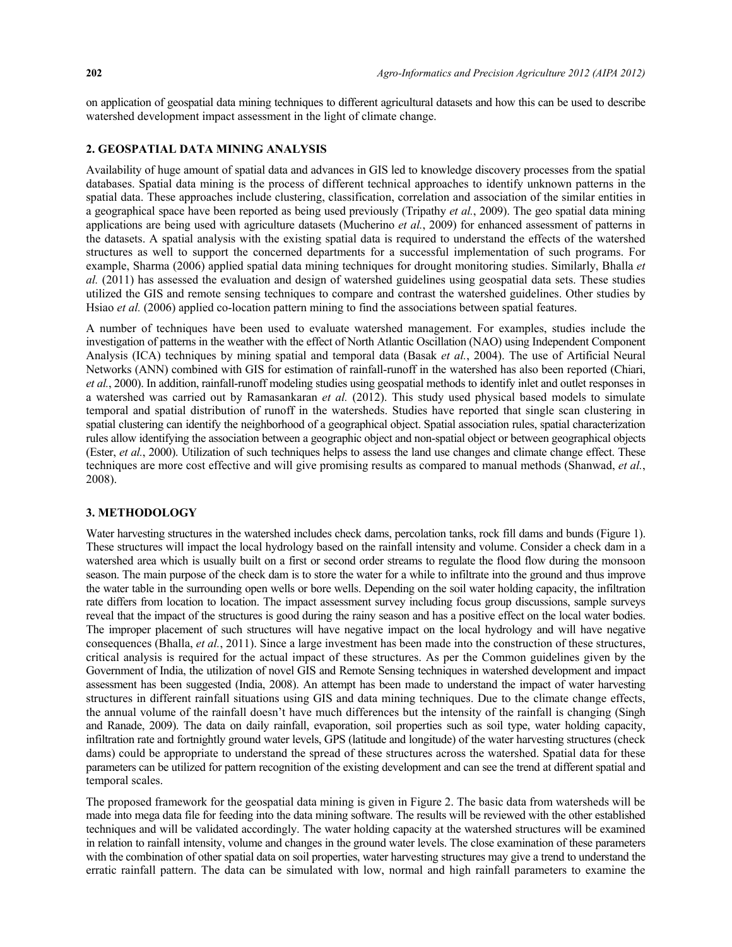on application of geospatial data mining techniques to different agricultural datasets and how this can be used to describe watershed development impact assessment in the light of climate change.

## **2. GEOSPATIAL DATA MINING ANALYSIS**

Availability of huge amount of spatial data and advances in GIS led to knowledge discovery processes from the spatial databases. Spatial data mining is the process of different technical approaches to identify unknown patterns in the spatial data. These approaches include clustering, classification, correlation and association of the similar entities in a geographical space have been reported as being used previously (Tripathy *et al.*, 2009). The geo spatial data mining applications are being used with agriculture datasets (Mucherino *et al.*, 2009) for enhanced assessment of patterns in the datasets. A spatial analysis with the existing spatial data is required to understand the effects of the watershed structures as well to support the concerned departments for a successful implementation of such programs. For example, Sharma (2006) applied spatial data mining techniques for drought monitoring studies. Similarly, Bhalla *et al.* (2011) has assessed the evaluation and design of watershed guidelines using geospatial data sets. These studies utilized the GIS and remote sensing techniques to compare and contrast the watershed guidelines. Other studies by Hsiao *et al.* (2006) applied co-location pattern mining to find the associations between spatial features.

A number of techniques have been used to evaluate watershed management. For examples, studies include the investigation of patterns in the weather with the effect of North Atlantic Oscillation (NAO) using Independent Component Analysis (ICA) techniques by mining spatial and temporal data (Basak *et al.*, 2004). The use of Artificial Neural Networks (ANN) combined with GIS for estimation of rainfall-runoff in the watershed has also been reported (Chiari, *et al.*, 2000). In addition, rainfall-runoff modeling studies using geospatial methods to identify inlet and outlet responses in a watershed was carried out by Ramasankaran *et al.* (2012). This study used physical based models to simulate temporal and spatial distribution of runoff in the watersheds. Studies have reported that single scan clustering in spatial clustering can identify the neighborhood of a geographical object. Spatial association rules, spatial characterization rules allow identifying the association between a geographic object and non-spatial object or between geographical objects (Ester, *et al.*, 2000). Utilization of such techniques helps to assess the land use changes and climate change effect. These techniques are more cost effective and will give promising results as compared to manual methods (Shanwad, *et al.*, 2008).

# **3. METHODOLOGY**

Water harvesting structures in the watershed includes check dams, percolation tanks, rock fill dams and bunds (Figure 1). These structures will impact the local hydrology based on the rainfall intensity and volume. Consider a check dam in a watershed area which is usually built on a first or second order streams to regulate the flood flow during the monsoon season. The main purpose of the check dam is to store the water for a while to infiltrate into the ground and thus improve the water table in the surrounding open wells or bore wells. Depending on the soil water holding capacity, the infiltration rate differs from location to location. The impact assessment survey including focus group discussions, sample surveys reveal that the impact of the structures is good during the rainy season and has a positive effect on the local water bodies. The improper placement of such structures will have negative impact on the local hydrology and will have negative consequences (Bhalla, *et al.*, 2011). Since a large investment has been made into the construction of these structures, critical analysis is required for the actual impact of these structures. As per the Common guidelines given by the Government of India, the utilization of novel GIS and Remote Sensing techniques in watershed development and impact assessment has been suggested (India, 2008). An attempt has been made to understand the impact of water harvesting structures in different rainfall situations using GIS and data mining techniques. Due to the climate change effects, the annual volume of the rainfall doesn't have much differences but the intensity of the rainfall is changing (Singh and Ranade, 2009). The data on daily rainfall, evaporation, soil properties such as soil type, water holding capacity, infiltration rate and fortnightly ground water levels, GPS (latitude and longitude) of the water harvesting structures (check dams) could be appropriate to understand the spread of these structures across the watershed. Spatial data for these parameters can be utilized for pattern recognition of the existing development and can see the trend at different spatial and temporal scales.

The proposed framework for the geospatial data mining is given in Figure 2. The basic data from watersheds will be made into mega data file for feeding into the data mining software. The results will be reviewed with the other established techniques and will be validated accordingly. The water holding capacity at the watershed structures will be examined in relation to rainfall intensity, volume and changes in the ground water levels. The close examination of these parameters with the combination of other spatial data on soil properties, water harvesting structures may give a trend to understand the erratic rainfall pattern. The data can be simulated with low, normal and high rainfall parameters to examine the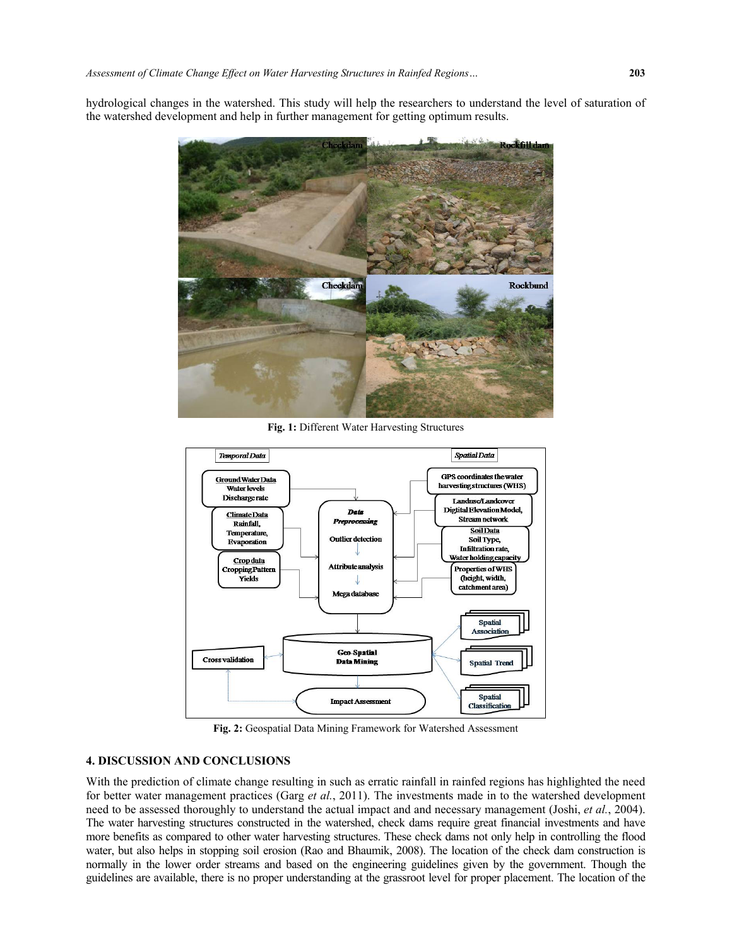hydrological changes in the watershed. This study will help the researchers to understand the level of saturation of the watershed development and help in further management for getting optimum results.



**Fig. 1:** Different Water Harvesting Structures



**Fig. 2:** Geospatial Data Mining Framework for Watershed Assessment

#### **4. DISCUSSION AND CONCLUSIONS**

With the prediction of climate change resulting in such as erratic rainfall in rainfed regions has highlighted the need for better water management practices (Garg *et al.*, 2011). The investments made in to the watershed development need to be assessed thoroughly to understand the actual impact and and necessary management (Joshi, *et al.*, 2004). The water harvesting structures constructed in the watershed, check dams require great financial investments and have more benefits as compared to other water harvesting structures. These check dams not only help in controlling the flood water, but also helps in stopping soil erosion (Rao and Bhaumik, 2008). The location of the check dam construction is normally in the lower order streams and based on the engineering guidelines given by the government. Though the guidelines are available, there is no proper understanding at the grassroot level for proper placement. The location of the